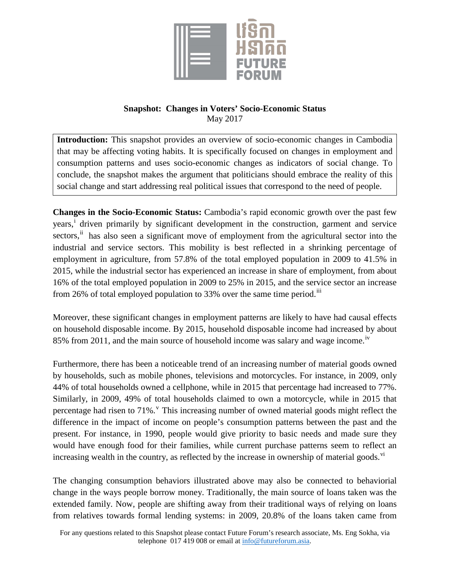

## **Snapshot: Changes in Voters' Socio-Economic Status** May 2017

**Introduction:** This snapshot provides an overview of socio-economic changes in Cambodia that may be affecting voting habits. It is specifically focused on changes in employment and consumption patterns and uses socio-economic changes as indicators of social change. To conclude, the snapshot makes the argument that politicians should embrace the reality of this social change and start addressing real political issues that correspond to the need of people.

**Changes in the Socio-Economic Status:** Cambodia's rapid economic growth over the past few years, [i](#page-1-0) driven primarily by significant development in the construction, garment and service sectors, <sup>[ii](#page-1-1)</sup> has also seen a significant move of employment from the agricultural sector into the industrial and service sectors. This mobility is best reflected in a shrinking percentage of employment in agriculture, from 57.8% of the total employed population in 2009 to 41.5% in 2015, while the industrial sector has experienced an increase in share of employment, from about 16% of the total employed population in 2009 to 25% in 2015, and the service sector an increase from 26% of total employed population to 33% over the same time period.<sup>iii</sup>

Moreover, these significant changes in employment patterns are likely to have had causal effects on household disposable income. By 2015, household disposable income had increased by about 85% from 2011, and the main source of household income was salary and wage income.<sup>[iv](#page-2-1)</sup>

Furthermore, there has been a noticeable trend of an increasing number of material goods owned by households, such as mobile phones, televisions and motorcycles. For instance, in 2009, only 44% of total households owned a cellphone, while in 2015 that percentage had increased to 77%. Similarly, in 2009, 49% of total households claimed to own a motorcycle, while in 2015 that percentage had risen to  $71\%$ . This increasing number of owned material goods might reflect the difference in the impact of income on people's consumption patterns between the past and the present. For instance, in 1990, people would give priority to basic needs and made sure they would have enough food for their families, while current purchase patterns seem to reflect an increasing wealth in the country, as reflected by the increase in ownership of material goods.<sup>vi</sup>

The changing consumption behaviors illustrated above may also be connected to behaviorial change in the ways people borrow money. Traditionally, the main source of loans taken was the extended family. Now, people are shifting away from their traditional ways of relying on loans from relatives towards formal lending systems: in 2009, 20.8% of the loans taken came from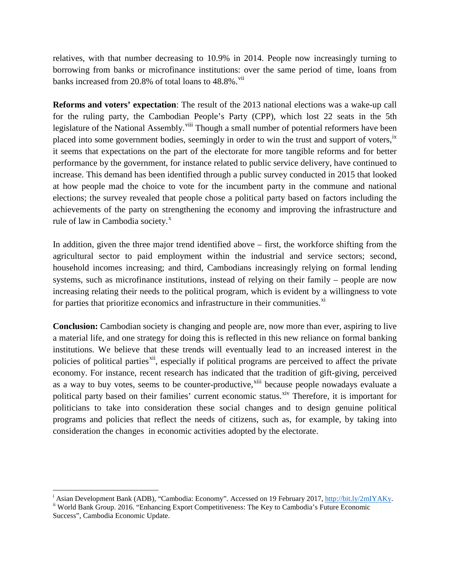relatives, with that number decreasing to 10.9% in 2014. People now increasingly turning to borrowing from banks or microfinance institutions: over the same period of time, loans from banks increased from 20.8% of total loans to 48.8%.<sup>[vii](#page-2-4)</sup>

**Reforms and voters' expectation**: The result of the 2013 national elections was a wake-up call for the ruling party, the Cambodian People's Party (CPP), which lost 22 seats in the 5th legislature of the National Assembly.<sup>[viii](#page-2-5)</sup> Though a small number of potential reformers have been placed into some government bodies, seemingly in order to win the trust and support of voters, [ix](#page-2-6) it seems that expectations on the part of the electorate for more tangible reforms and for better performance by the government, for instance related to public service delivery, have continued to increase. This demand has been identified through a public survey conducted in 2015 that looked at how people mad the choice to vote for the incumbent party in the commune and national elections; the survey revealed that people chose a political party based on factors including the achievements of the party on strengthening the economy and improving the infrastructure and rule of law in Cambodia society.<sup>[x](#page-2-7)</sup>

In addition, given the three major trend identified above – first, the workforce shifting from the agricultural sector to paid employment within the industrial and service sectors; second, household incomes increasing; and third, Cambodians increasingly relying on formal lending systems, such as microfinance institutions, instead of relying on their family – people are now increasing relating their needs to the political program, which is evident by a willingness to vote for parties that prioritize economics and infrastructure in their communities.<sup>[xi](#page-2-8)</sup>

**Conclusion:** Cambodian society is changing and people are, now more than ever, aspiring to live a material life, and one strategy for doing this is reflected in this new reliance on formal banking institutions. We believe that these trends will eventually lead to an increased interest in the policies of political parties<sup>[xii](#page-2-9)</sup>, especially if political programs are perceived to affect the private economy. For instance, recent research has indicated that the tradition of gift-giving, perceived as a way to buy votes, seems to be counter-productive,<sup>[xiii](#page-2-10)</sup> because people nowadays evaluate a political party based on their families' current economic status.<sup>[xiv](#page-2-11)</sup> Therefore, it is important for politicians to take into consideration these social changes and to design genuine political programs and policies that reflect the needs of citizens, such as, for example, by taking into consideration the changes in economic activities adopted by the electorate.

<span id="page-1-0"></span>i <sup>i</sup> Asian Development Bank (ADB), "Cambodia: Economy". Accessed on 19 February 2017[, http://bit.ly/2mIYAKy.](http://bit.ly/2mIYAKy) ii World Bank Group. 2016. "Enhancing Export Competitiveness: The Key to Cambodia's Future Economic

<span id="page-1-1"></span>Success", Cambodia Economic Update.